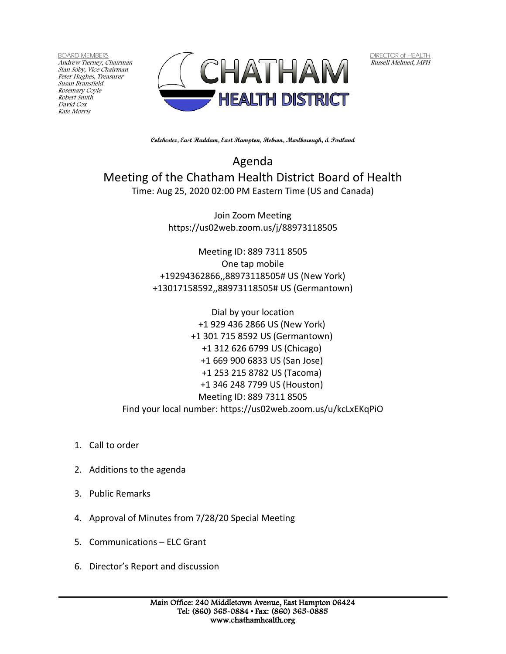BOARD MEMBERS Andrew Tierney, Chairman Stan Soby, Vice Chairman Peter Hughes, Treasurer Susan Bransfield Rosemary Coyle Robert Smith David Cox Kate Morris



DIRECTOR of HEALTH Russell Melmed, MPH

**Colchester, East Haddam, East Hampton, Hebron, Marlborough, & Portland**

Agenda Meeting of the Chatham Health District Board of Health Time: Aug 25, 2020 02:00 PM Eastern Time (US and Canada)

> Join Zoom Meeting https://us02web.zoom.us/j/88973118505

Meeting ID: 889 7311 8505 One tap mobile +19294362866,,88973118505# US (New York) +13017158592,,88973118505# US (Germantown)

Dial by your location +1 929 436 2866 US (New York) +1 301 715 8592 US (Germantown) +1 312 626 6799 US (Chicago) +1 669 900 6833 US (San Jose) +1 253 215 8782 US (Tacoma) +1 346 248 7799 US (Houston) Meeting ID: 889 7311 8505 Find your local number: https://us02web.zoom.us/u/kcLxEKqPiO

- 1. Call to order
- 2. Additions to the agenda
- 3. Public Remarks
- 4. Approval of Minutes from 7/28/20 Special Meeting
- 5. Communications ELC Grant
- 6. Director's Report and discussion